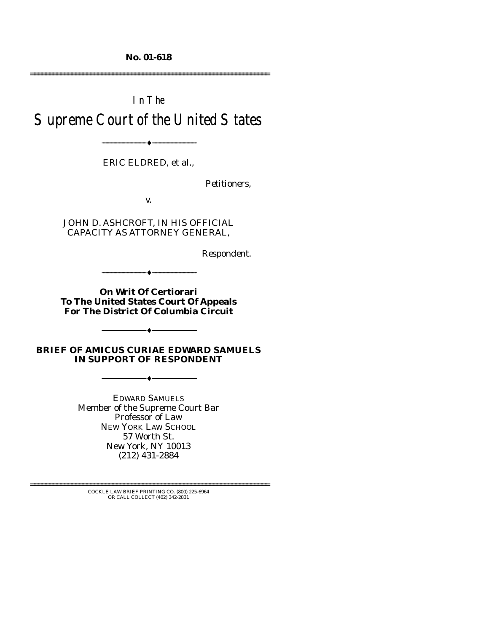**No. 01-618** 

================================================================

# In The Supreme Court of the United States

--------------------------------- ♦ ---------------------------------

ERIC ELDRED, et al.,

*Petitioners,* 

v.

JOHN D. ASHCROFT, IN HIS OFFICIAL CAPACITY AS ATTORNEY GENERAL,

*Respondent.* 

**On Writ Of Certiorari To The United States Court Of Appeals For The District Of Columbia Circuit** 

--------------------------------- ♦ ---------------------------------

**BRIEF OF AMICUS CURIAE EDWARD SAMUELS IN SUPPORT OF RESPONDENT** 

--------------------------------- ♦ ---------------------------------

 $-+$ 

EDWARD SAMUELS Member of the Supreme Court Bar Professor of Law NEW YORK LAW SCHOOL 57 Worth St. New York, NY 10013 (212) 431-2884

================================================================ COCKLE LAW BRIEF PRINTING CO. (800) 225-6964 OR CALL COLLECT (402) 342-2831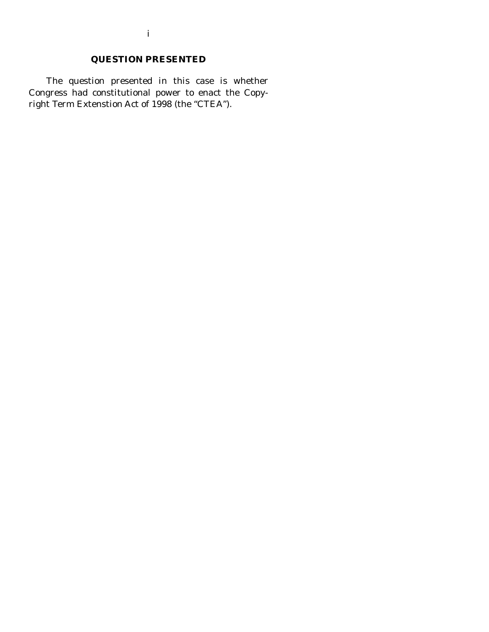# **QUESTION PRESENTED**

 The question presented in this case is whether Congress had constitutional power to enact the Copyright Term Extenstion Act of 1998 (the "CTEA").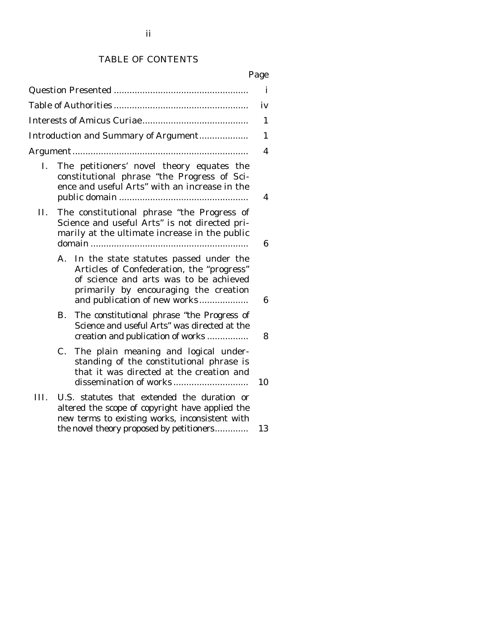## TABLE OF CONTENTS

# Page

|      |                                                                                                                                                                                                              | $\mathbf i$ |  |  |  |  |
|------|--------------------------------------------------------------------------------------------------------------------------------------------------------------------------------------------------------------|-------------|--|--|--|--|
|      |                                                                                                                                                                                                              | iv          |  |  |  |  |
|      |                                                                                                                                                                                                              | 1           |  |  |  |  |
|      | Introduction and Summary of Argument                                                                                                                                                                         | 1           |  |  |  |  |
|      |                                                                                                                                                                                                              | 4           |  |  |  |  |
| Ι.   | The petitioners' novel theory equates the<br>constitutional phrase "the Progress of Sci-<br>ence and useful Arts" with an increase in the                                                                    |             |  |  |  |  |
| П.   | The constitutional phrase "the Progress of<br>Science and useful Arts" is not directed pri-<br>marily at the ultimate increase in the public                                                                 | 6           |  |  |  |  |
|      | In the state statutes passed under the<br>A.<br>Articles of Confederation, the "progress"<br>of science and arts was to be achieved<br>primarily by encouraging the creation<br>and publication of new works | 6           |  |  |  |  |
|      | The constitutional phrase "the Progress of<br>В.<br>Science and useful Arts" was directed at the<br>creation and publication of works                                                                        | 8           |  |  |  |  |
|      | The plain meaning and logical under-<br>$C_{\cdot}$<br>standing of the constitutional phrase is<br>that it was directed at the creation and                                                                  | 10          |  |  |  |  |
| III. | U.S. statutes that extended the duration or<br>altered the scope of copyright have applied the<br>new terms to existing works, inconsistent with<br>the novel theory proposed by petitioners                 | 13          |  |  |  |  |
|      |                                                                                                                                                                                                              |             |  |  |  |  |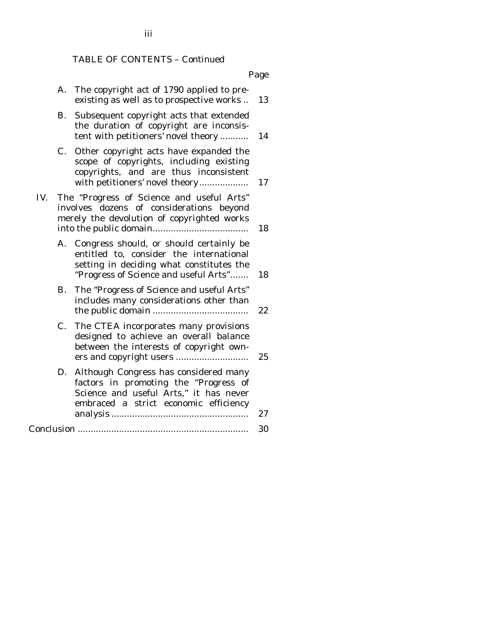#### TABLE OF CONTENTS – Continued

Page

- A. The copyright act of 1790 applied to preexisting as well as to prospective works .. 13
- B. Subsequent copyright acts that extended the duration of copyright are inconsistent with petitioners' novel theory ........... 14
- C. Other copyright acts have expanded the scope of copyrights, including existing copyrights, and are thus inconsistent with petitioners' novel theory....................... 17
- IV. The "Progress of Science and useful Arts" involves dozens of considerations beyond merely the devolution of copyrighted works into the public domain..................................... 18
	- A. Congress should, or should certainly be entitled to, consider the international setting in deciding what constitutes the "Progress of Science and useful Arts"....... 18
	- B. The "Progress of Science and useful Arts" includes many considerations other than the public domain ..................................... 22
	- C. The CTEA incorporates many provisions designed to achieve an overall balance between the interests of copyright owners and copyright users ............................ 25
	- D. Although Congress has considered many factors in promoting the "Progress of Science and useful Arts," it has never embraced a strict economic efficiency analysis ..................................................... 27

#### Conclusion .................................................................. 30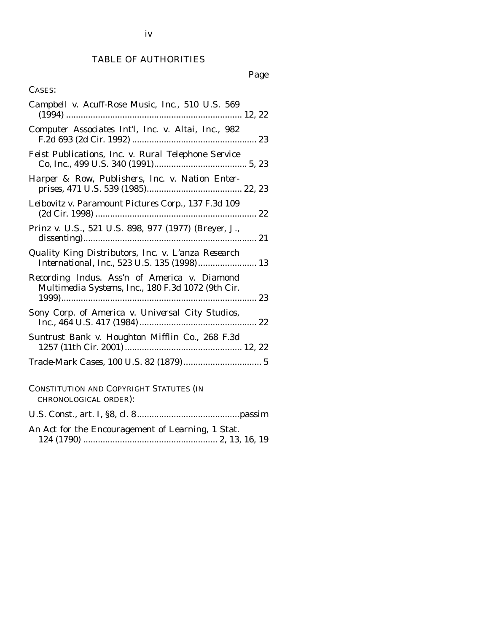## TABLE OF AUTHORITIES

## Page

## CASES:

| Campbell v. Acuff-Rose Music, Inc., 510 U.S. 569                                                  |
|---------------------------------------------------------------------------------------------------|
| Computer Associates Int'l, Inc. v. Altai, Inc., 982                                               |
| Feist Publications, Inc. v. Rural Telephone Service                                               |
| Harper & Row, Publishers, Inc. v. Nation Enter-                                                   |
| Leibovitz v. Paramount Pictures Corp., 137 F.3d 109                                               |
| Prinz v. U.S., 521 U.S. 898, 977 (1977) (Breyer, J.,                                              |
| Quality King Distributors, Inc. v. L'anza Research<br>International, Inc., 523 U.S. 135 (1998) 13 |
| Recording Indus. Ass'n of America v. Diamond<br>Multimedia Systems, Inc., 180 F.3d 1072 (9th Cir. |
| Sony Corp. of America v. Universal City Studios,                                                  |
| Suntrust Bank v. Houghton Mifflin Co., 268 F.3d                                                   |
|                                                                                                   |
| CONSTITUTION AND COPYRIGHT STATUTES (IN<br>CHRONOLOGICAL ORDER):                                  |
|                                                                                                   |
| An Act for the Encouragement of Learning, 1 Stat.                                                 |

124 (1790) ....................................................... 2, 13, 16, 19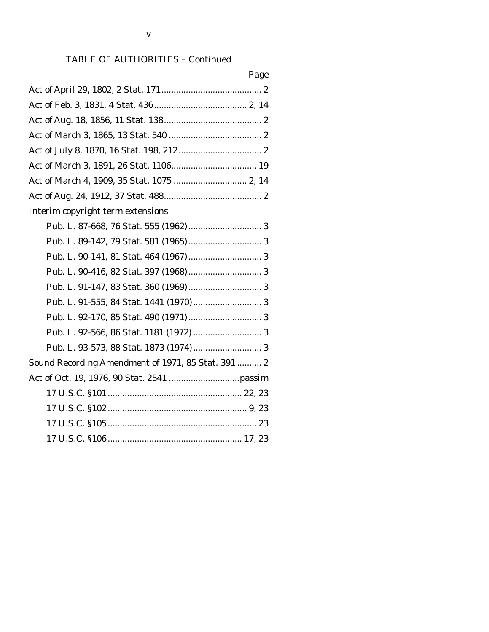## TABLE OF AUTHORITIES – Continued

| Page                                               |
|----------------------------------------------------|
|                                                    |
|                                                    |
|                                                    |
|                                                    |
|                                                    |
|                                                    |
|                                                    |
|                                                    |
| Interim copyright term extensions                  |
|                                                    |
|                                                    |
|                                                    |
|                                                    |
|                                                    |
|                                                    |
|                                                    |
|                                                    |
|                                                    |
| Sound Recording Amendment of 1971, 85 Stat. 391  2 |
|                                                    |
|                                                    |
|                                                    |
|                                                    |
|                                                    |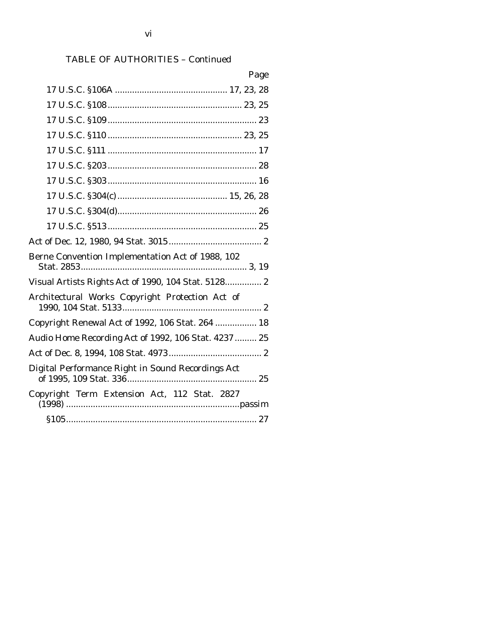# TABLE OF AUTHORITIES – Continued

| Page                                                 |
|------------------------------------------------------|
|                                                      |
|                                                      |
|                                                      |
|                                                      |
|                                                      |
|                                                      |
|                                                      |
|                                                      |
|                                                      |
|                                                      |
|                                                      |
| Berne Convention Implementation Act of 1988, 102     |
| Visual Artists Rights Act of 1990, 104 Stat. 5128 2  |
| Architectural Works Copyright Protection Act of      |
| Copyright Renewal Act of 1992, 106 Stat. 264  18     |
| Audio Home Recording Act of 1992, 106 Stat. 4237  25 |
|                                                      |
| Digital Performance Right in Sound Recordings Act    |
| Copyright Term Extension Act, 112 Stat. 2827         |
|                                                      |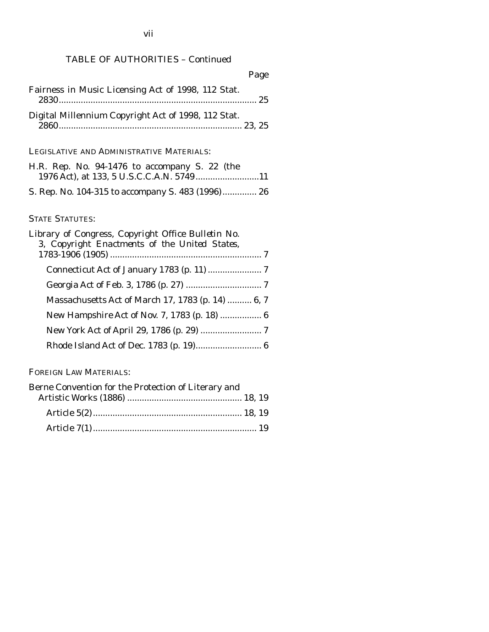## TABLE OF AUTHORITIES – Continued

|                                                     | Page |
|-----------------------------------------------------|------|
| Fairness in Music Licensing Act of 1998, 112 Stat.  |      |
| Digital Millennium Copyright Act of 1998, 112 Stat. |      |

## LEGISLATIVE AND ADMINISTRATIVE MATERIALS:

|  | H.R. Rep. No. 94-1476 to accompany S. 22 (the |  |  |  |  |
|--|-----------------------------------------------|--|--|--|--|
|  |                                               |  |  |  |  |
|  |                                               |  |  |  |  |

S. Rep. No. 104-315 to accompany S. 483 (1996).............. 26

## STATE STATUTES:

| Library of Congress, Copyright Office Bulletin No.<br>3, Copyright Enactments of the United States, |  |
|-----------------------------------------------------------------------------------------------------|--|
|                                                                                                     |  |
|                                                                                                     |  |
|                                                                                                     |  |
| Massachusetts Act of March 17, 1783 (p. 14)  6, 7                                                   |  |
|                                                                                                     |  |
|                                                                                                     |  |
|                                                                                                     |  |

FOREIGN LAW MATERIALS:

| Berne Convention for the Protection of Literary and |  |
|-----------------------------------------------------|--|
|                                                     |  |
|                                                     |  |
|                                                     |  |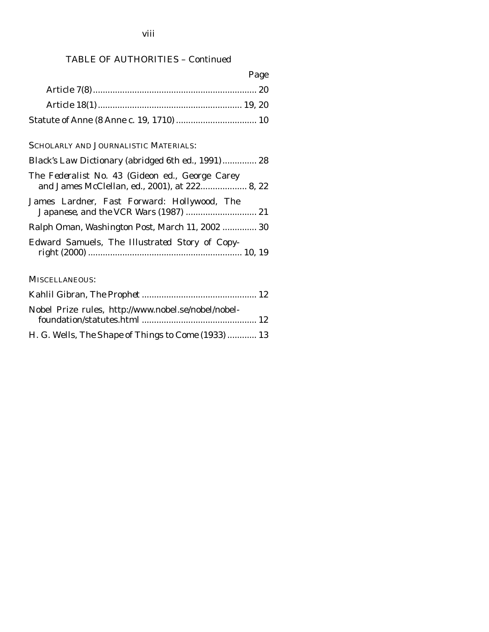#### viii

## TABLE OF AUTHORITIES – Continued

| Page |
|------|
|      |
|      |

Statute of Anne (8 Anne c. 19, 1710) ................................. 10

## SCHOLARLY AND JOURNALISTIC MATERIALS:

| Black's Law Dictionary (abridged 6th ed., 1991) 28                                               |
|--------------------------------------------------------------------------------------------------|
| The Federalist No. 43 (Gideon ed., George Carey<br>and James McClellan, ed., 2001), at 222 8, 22 |
| James Lardner, Fast Forward: Hollywood, The                                                      |
| Ralph Oman, <i>Washington Post</i> , March 11, 2002  30                                          |
| Edward Samuels, The Illustrated Story of Copy-                                                   |

### MISCELLANEOUS:

| Nobel Prize rules, http://www.nobel.se/nobel/nobel- |  |
|-----------------------------------------------------|--|
|                                                     |  |
| H. G. Wells, The Shape of Things to Come (1933)  13 |  |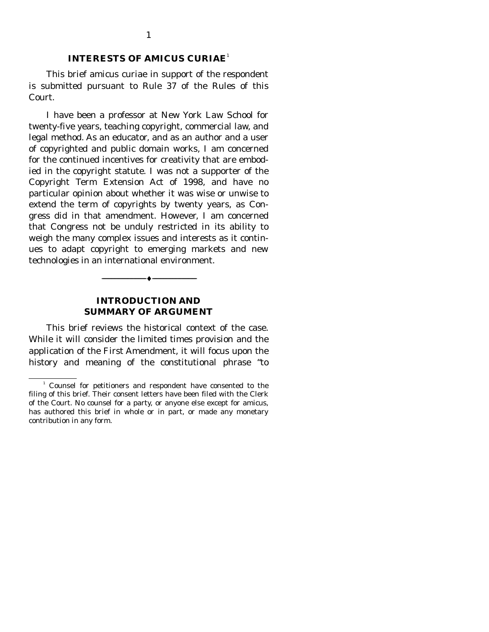#### **INTERESTS OF AMICUS CURIAE**<sup>1</sup>

 This brief amicus curiae in support of the respondent is submitted pursuant to Rule 37 of the Rules of this Court.

 I have been a professor at New York Law School for twenty-five years, teaching copyright, commercial law, and legal method. As an educator, and as an author and a user of copyrighted and public domain works, I am concerned for the continued incentives for creativity that are embodied in the copyright statute. I was not a supporter of the Copyright Term Extension Act of 1998, and have no particular opinion about whether it was wise or unwise to extend the term of copyrights by twenty years, as Congress did in that amendment. However, I am concerned that Congress not be unduly restricted in its ability to weigh the many complex issues and interests as it continues to adapt copyright to emerging markets and new technologies in an international environment.

#### **INTRODUCTION AND SUMMARY OF ARGUMENT**

--------------------------------- ♦ ---------------------------------

This brief reviews the historical context of the case. While it will consider the limited times provision and the application of the First Amendment, it will focus upon the history and meaning of the constitutional phrase "to

<sup>&</sup>lt;sup>1</sup> Counsel for petitioners and respondent have consented to the filing of this brief. Their consent letters have been filed with the Clerk of the Court. No counsel for a party, or anyone else except for amicus, has authored this brief in whole or in part, or made any monetary contribution in any form.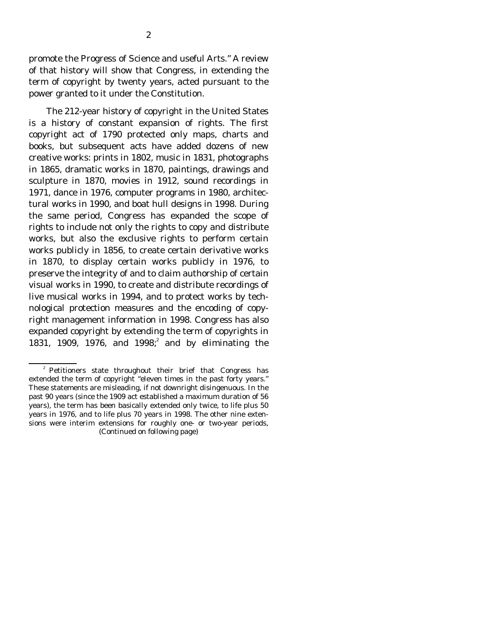promote the Progress of Science and useful Arts." A review of that history will show that Congress, in extending the term of copyright by twenty years, acted pursuant to the power granted to it under the Constitution.

 The 212-year history of copyright in the United States is a history of constant expansion of rights. The first copyright act of 1790 protected only maps, charts and books, but subsequent acts have added dozens of new creative works: prints in 1802, music in 1831, photographs in 1865, dramatic works in 1870, paintings, drawings and sculpture in 1870, movies in 1912, sound recordings in 1971, dance in 1976, computer programs in 1980, architectural works in 1990, and boat hull designs in 1998. During the same period, Congress has expanded the scope of rights to include not only the rights to copy and distribute works, but also the exclusive rights to perform certain works publicly in 1856, to create certain derivative works in 1870, to display certain works publicly in 1976, to preserve the integrity of and to claim authorship of certain visual works in 1990, to create and distribute recordings of live musical works in 1994, and to protect works by technological protection measures and the encoding of copyright management information in 1998. Congress has also expanded copyright by extending the term of copyrights in 1831, 1909, 1976, and 1998;<sup>2</sup> and by eliminating the

<sup>&</sup>lt;sup>2</sup> Petitioners state throughout their brief that Congress has extended the term of copyright "eleven times in the past forty years." These statements are misleading, if not downright disingenuous. In the past 90 years (since the 1909 act established a maximum duration of 56 years), the term has been basically extended only twice, to life plus 50 years in 1976, and to life plus 70 years in 1998. The other nine extensions were interim extensions for roughly one- or two-year periods, (Continued on following page)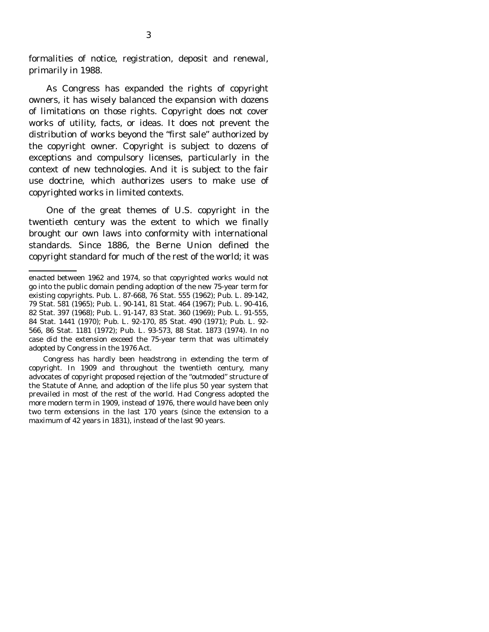formalities of notice, registration, deposit and renewal, primarily in 1988.

 As Congress has expanded the rights of copyright owners, it has wisely balanced the expansion with dozens of limitations on those rights. Copyright does not cover works of utility, facts, or ideas. It does not prevent the distribution of works beyond the "first sale" authorized by the copyright owner. Copyright is subject to dozens of exceptions and compulsory licenses, particularly in the context of new technologies. And it is subject to the fair use doctrine, which authorizes users to make use of copyrighted works in limited contexts.

 One of the great themes of U.S. copyright in the twentieth century was the extent to which we finally brought our own laws into conformity with international standards. Since 1886, the Berne Union defined the copyright standard for much of the rest of the world; it was

 Congress has hardly been headstrong in extending the term of copyright. In 1909 and throughout the twentieth century, many advocates of copyright proposed rejection of the "outmoded" structure of the Statute of Anne, and adoption of the life plus 50 year system that prevailed in most of the rest of the world. Had Congress adopted the more modern term in 1909, instead of 1976, there would have been only two term extensions in the last 170 years (since the extension to a maximum of 42 years in 1831), instead of the last 90 years.

enacted between 1962 and 1974, so that copyrighted works would not go into the public domain pending adoption of the new 75-year term for existing copyrights. Pub. L. 87-668, 76 Stat. 555 (1962); Pub. L. 89-142, 79 Stat. 581 (1965); Pub. L. 90-141, 81 Stat. 464 (1967); Pub. L. 90-416, 82 Stat. 397 (1968); Pub. L. 91-147, 83 Stat. 360 (1969); Pub. L. 91-555, 84 Stat. 1441 (1970); Pub. L. 92-170, 85 Stat. 490 (1971); Pub. L. 92- 566, 86 Stat. 1181 (1972); Pub. L. 93-573, 88 Stat. 1873 (1974). In no case did the extension exceed the 75-year term that was ultimately adopted by Congress in the 1976 Act.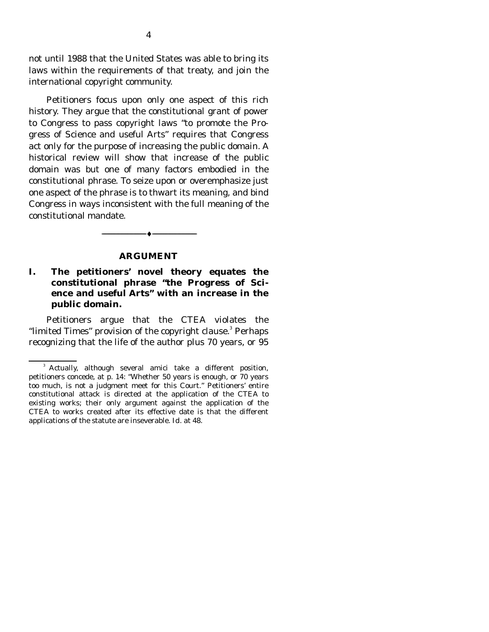not until 1988 that the United States was able to bring its laws within the requirements of that treaty, and join the international copyright community.

 Petitioners focus upon only one aspect of this rich history. They argue that the constitutional grant of power to Congress to pass copyright laws "to promote the Progress of Science and useful Arts" requires that Congress act only for the purpose of increasing the public domain. A historical review will show that increase of the public domain was but one of many factors embodied in the constitutional phrase. To seize upon or overemphasize just one aspect of the phrase is to thwart its meaning, and bind Congress in ways inconsistent with the full meaning of the constitutional mandate.

#### **ARGUMENT**

 $-\bullet-\$ 

### **I. The petitioners' novel theory equates the constitutional phrase "the Progress of Science and useful Arts" with an increase in the public domain.**

 Petitioners argue that the CTEA violates the "limited Times" provision of the copyright clause.<sup>3</sup> Perhaps recognizing that the life of the author plus 70 years, or 95

<sup>&</sup>lt;sup>3</sup> Actually, although several amici take a different position, petitioners concede, at p. 14: "Whether 50 years is enough, or 70 years too much, is not a judgment meet for this Court." Petitioners' entire constitutional attack is directed at the application of the CTEA to existing works; their only argument against the application of the CTEA to works created after its effective date is that the different applications of the statute are inseverable. *Id.* at 48.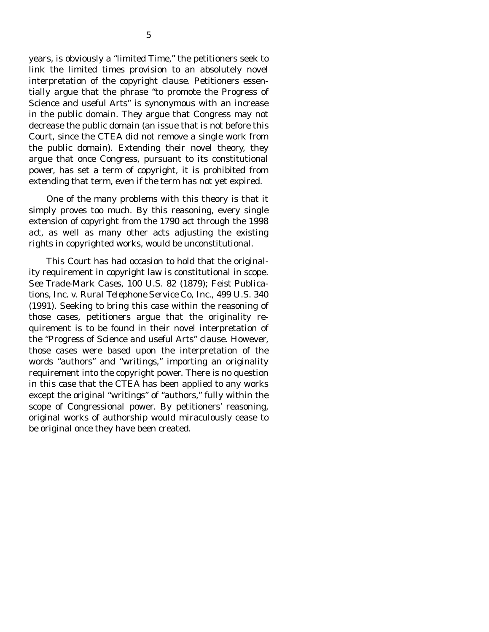years, is obviously a "limited Time," the petitioners seek to link the limited times provision to an absolutely novel interpretation of the copyright clause. Petitioners essentially argue that the phrase "to promote the Progress of Science and useful Arts" is synonymous with an increase in the public domain. They argue that Congress may not decrease the public domain (an issue that is not before this Court, since the CTEA did not remove a single work from the public domain). Extending their novel theory, they argue that once Congress, pursuant to its constitutional power, has set a term of copyright, it is prohibited from extending that term, even if the term has not yet expired.

 One of the many problems with this theory is that it simply proves too much. By this reasoning, every single extension of copyright from the 1790 act through the 1998 act, as well as many other acts adjusting the existing rights in copyrighted works, would be unconstitutional.

 This Court has had occasion to hold that the originality requirement in copyright law is constitutional in scope. *See Trade-Mark Cases,* 100 U.S. 82 (1879); *Feist Publications, Inc. v. Rural Telephone Service Co, Inc.,* 499 U.S. 340 (1991). Seeking to bring this case within the reasoning of those cases, petitioners argue that the originality requirement is to be found in their novel interpretation of the "Progress of Science and useful Arts" clause. However, those cases were based upon the interpretation of the words "authors" and "writings," importing an originality requirement into the copyright power. There is no question in this case that the CTEA has been applied to any works except the original "writings" of "authors," fully within the scope of Congressional power. By petitioners' reasoning, original works of authorship would miraculously cease to be original once they have been created.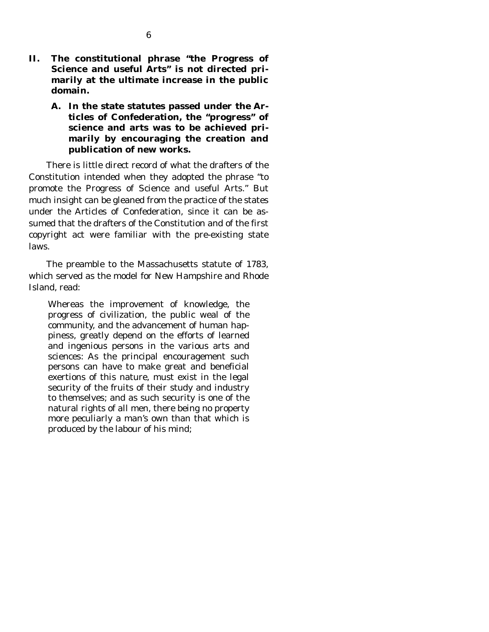- **II. The constitutional phrase "the Progress of Science and useful Arts" is not directed primarily at the ultimate increase in the public domain.** 
	- **A. In the state statutes passed under the Articles of Confederation, the "progress" of science and arts was to be achieved primarily by encouraging the creation and publication of new works.**

 There is little direct record of what the drafters of the Constitution intended when they adopted the phrase "to promote the Progress of Science and useful Arts." But much insight can be gleaned from the practice of the states under the Articles of Confederation, since it can be assumed that the drafters of the Constitution and of the first copyright act were familiar with the pre-existing state laws.

 The preamble to the Massachusetts statute of 1783, which served as the model for New Hampshire and Rhode Island, read:

Whereas the improvement of knowledge, the progress of civilization, the public weal of the community, and the advancement of human happiness, greatly depend on the efforts of learned and ingenious persons in the various arts and sciences: As the principal encouragement such persons can have to make great and beneficial exertions of this nature, must exist in the legal security of the fruits of their study and industry to themselves; and as such security is one of the natural rights of all men, there being no property more peculiarly a man's own than that which is produced by the labour of his mind;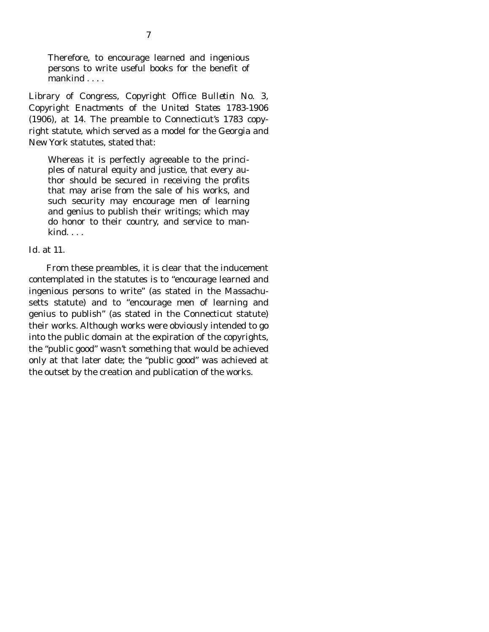Therefore, to encourage learned and ingenious persons to write useful books for the benefit of mankind . . . .

Library of Congress, *Copyright Office Bulletin No. 3, Copyright Enactments of the United States 1783-1906* (1906), at 14. The preamble to Connecticut's 1783 copyright statute, which served as a model for the Georgia and New York statutes, stated that:

Whereas it is perfectly agreeable to the principles of natural equity and justice, that every author should be secured in receiving the profits that may arise from the sale of his works, and such security may encourage men of learning and genius to publish their writings; which may do honor to their country, and service to mankind. . . .

#### *Id.* at 11.

 From these preambles, it is clear that the inducement contemplated in the statutes is to "encourage learned and ingenious persons to write" (as stated in the Massachusetts statute) and to "encourage men of learning and genius to publish" (as stated in the Connecticut statute) their works. Although works were obviously intended to go into the public domain at the expiration of the copyrights, the "public good" wasn't something that would be achieved only at that later date; the "public good" was achieved at the outset by the creation and publication of the works.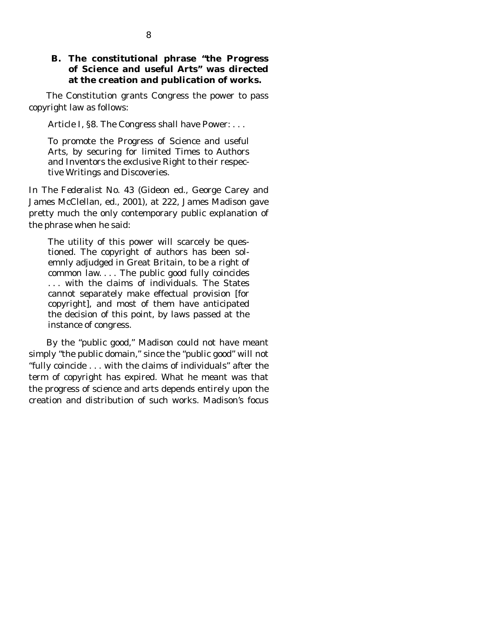### **B. The constitutional phrase "the Progress of Science and useful Arts" was directed at the creation and publication of works.**

 The Constitution grants Congress the power to pass copyright law as follows:

Article I, §8. The Congress shall have Power: . . .

To promote the Progress of Science and useful Arts, by securing for limited Times to Authors and Inventors the exclusive Right to their respective Writings and Discoveries.

In *The Federalist No. 43* (Gideon ed., George Carey and James McClellan, ed., 2001), at 222, James Madison gave pretty much the only contemporary public explanation of the phrase when he said:

The utility of this power will scarcely be questioned. The copyright of authors has been solemnly adjudged in Great Britain, to be a right of common law. . . . The public good fully coincides . . . with the claims of individuals. The States cannot separately make effectual provision [for copyright], and most of them have anticipated the decision of this point, by laws passed at the instance of congress.

 By the "public good," Madison could not have meant simply "the public domain," since the "public good" will not "fully coincide . . . with the claims of individuals" after the term of copyright has expired. What he meant was that the progress of science and arts depends entirely upon the creation and distribution of such works. Madison's focus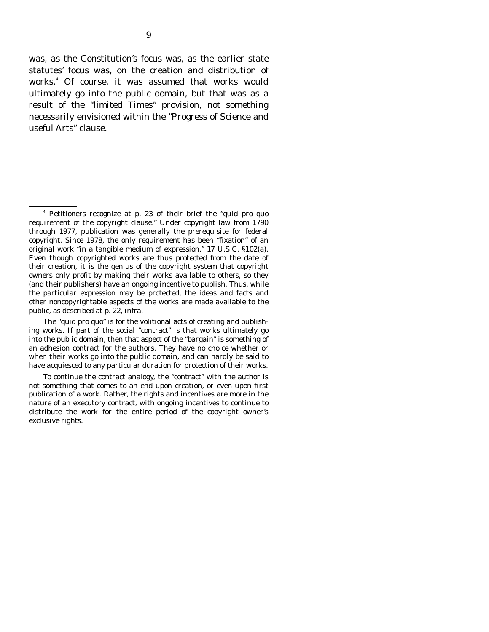was, as the Constitution's focus was, as the earlier state statutes' focus was, on the creation and distribution of works.<sup>4</sup> Of course, it was assumed that works would ultimately go into the public domain, but that was as a result of the "limited Times" provision, not something necessarily envisioned within the "Progress of Science and useful Arts" clause.

<sup>4</sup> Petitioners recognize at p. 23 of their brief the "quid pro quo requirement of the copyright clause." Under copyright law from 1790 through 1977, publication was generally the prerequisite for federal copyright. Since 1978, the only requirement has been "fixation" of an original work "in a tangible medium of expression." 17 U.S.C. §102(a). Even though copyrighted works are thus protected from the date of their creation, it is the genius of the copyright system that copyright owners only profit by making their works available to others, so they (and their publishers) have an ongoing incentive to publish. Thus, while the particular expression may be protected, the ideas and facts and other noncopyrightable aspects of the works are made available to the public, as described at p. 22, *infra.*

The "quid pro quo" is for the volitional acts of creating and publishing works. If part of the social "contract" is that works ultimately go into the public domain, then that aspect of the "bargain" is something of an adhesion contract for the authors. They have no choice whether or when their works go into the public domain, and can hardly be said to have acquiesced to any particular duration for protection of their works.

To continue the contract analogy, the "contract" with the author is not something that comes to an end upon creation, or even upon first publication of a work. Rather, the rights and incentives are more in the nature of an executory contract, with ongoing incentives to continue to distribute the work for the entire period of the copyright owner's exclusive rights.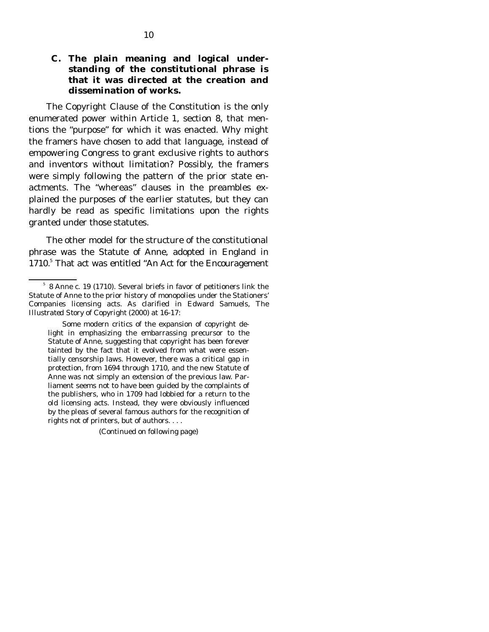### **C. The plain meaning and logical understanding of the constitutional phrase is that it was directed at the creation and dissemination of works.**

 The Copyright Clause of the Constitution is the only enumerated power within Article 1, section 8, that mentions the "purpose" for which it was enacted. Why might the framers have chosen to add that language, instead of empowering Congress to grant exclusive rights to authors and inventors without limitation? Possibly, the framers were simply following the pattern of the prior state enactments. The "whereas" clauses in the preambles explained the purposes of the earlier statutes, but they can hardly be read as specific limitations upon the rights granted under those statutes.

 The other model for the structure of the constitutional phrase was the Statute of Anne, adopted in England in 1710.<sup>5</sup> That act was entitled "An Act for the Encouragement

(Continued on following page)

<sup>5</sup> 8 Anne c. 19 (1710). Several briefs in favor of petitioners link the Statute of Anne to the prior history of monopolies under the Stationers' Companies licensing acts. As clarified in Edward Samuels, *The Illustrated Story of Copyright* (2000) at 16-17:

Some modern critics of the expansion of copyright delight in emphasizing the embarrassing precursor to the Statute of Anne, suggesting that copyright has been forever tainted by the fact that it evolved from what were essentially censorship laws. However, there was a critical gap in protection, from 1694 through 1710, and the new Statute of Anne was not simply an extension of the previous law. Parliament seems not to have been guided by the complaints of the publishers, who in 1709 had lobbied for a return to the old licensing acts. Instead, they were obviously influenced by the pleas of several famous authors for the recognition of rights not of printers, but of authors. . . .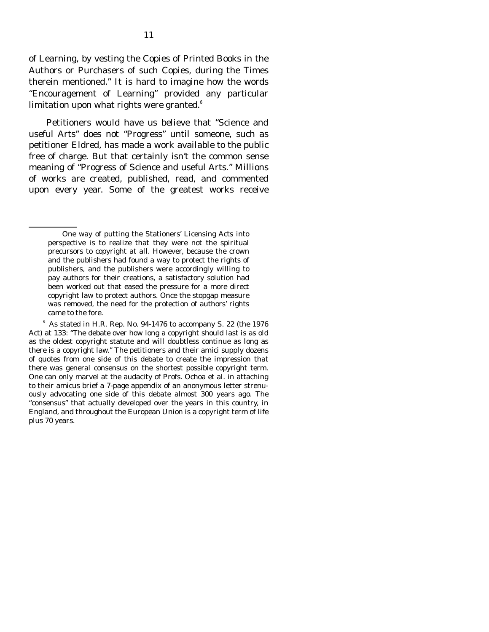of Learning, by vesting the Copies of Printed Books in the Authors or Purchasers of such Copies, during the Times therein mentioned." It is hard to imagine how the words "Encouragement of Learning" provided any particular limitation upon what rights were granted. $^{\mathrm{6}}$ 

 Petitioners would have us believe that "Science and useful Arts" does not "Progress" until someone, such as petitioner Eldred, has made a work available to the public free of charge. But that certainly isn't the common sense meaning of "Progress of Science and useful Arts." Millions of works are created, published, read, and commented upon every year. Some of the greatest works receive

One way of putting the Stationers' Licensing Acts into perspective is to realize that they were not the spiritual precursors to copyright at all. However, because the crown and the publishers had found a way to protect the rights of publishers, and the publishers were accordingly willing to pay authors for their creations, a satisfactory solution had been worked out that eased the pressure for a more direct copyright law to protect authors. Once the stopgap measure was removed, the need for the protection of authors' rights came to the fore.

 $6$  As stated in H.R. Rep. No. 94-1476 to accompany S. 22 (the 1976) Act) at 133: "The debate over how long a copyright should last is as old as the oldest copyright statute and will doubtless continue as long as there is a copyright law." The petitioners and their amici supply dozens of quotes from one side of this debate to create the impression that there was general consensus on the shortest possible copyright term. One can only marvel at the audacity of Profs. Ochoa et al. in attaching to their amicus brief a 7-page appendix of an anonymous letter strenuously advocating one side of this debate almost 300 years ago. The "consensus" that actually developed over the years in this country, in England, and throughout the European Union is a copyright term of life plus 70 years.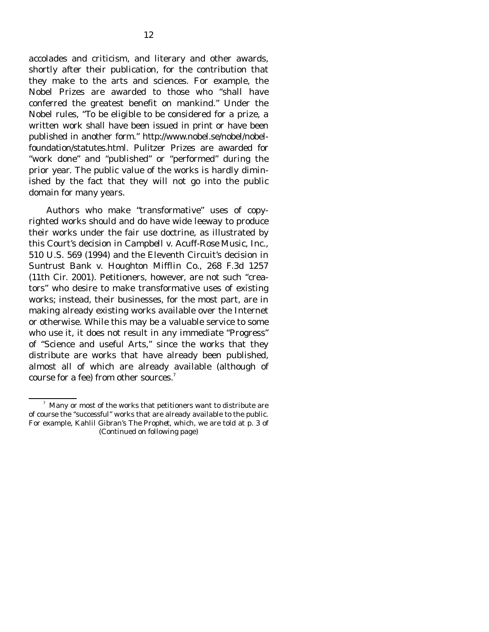accolades and criticism, and literary and other awards, shortly after their publication, for the contribution that they make to the arts and sciences. For example, the Nobel Prizes are awarded to those who "shall have conferred the greatest benefit on mankind." Under the Nobel rules, "To be eligible to be considered for a prize, a written work shall have been issued in print or have been published in another form." http://www.nobel.se/nobel/nobelfoundation/statutes.html. Pulitzer Prizes are awarded for "work done" and "published" or "performed" during the prior year. The public value of the works is hardly diminished by the fact that they will not go into the public domain for many years.

 Authors who make "transformative" uses of copyrighted works should and do have wide leeway to produce their works under the fair use doctrine, as illustrated by this Court's decision in *Campbell v. Acuff-Rose Music, Inc.,* 510 U.S. 569 (1994) and the Eleventh Circuit's decision in *Suntrust Bank v. Houghton Mifflin Co.,* 268 F.3d 1257 (11th Cir. 2001). Petitioners, however, are not such "creators" who desire to make transformative uses of existing works; instead, their businesses, for the most part, are in making already existing works available over the Internet or otherwise. While this may be a valuable service to some who use it, it does not result in any immediate "Progress" of "Science and useful Arts," since the works that they distribute are works that have already been published, almost all of which are already available (although of course for a fee) from other sources. $7$ 

<sup>7</sup> Many or most of the works that petitioners want to distribute are of course the "successful" works that are already available to the public. For example, Kahlil Gibran's *The Prophet,* which, we are told at p. 3 of (Continued on following page)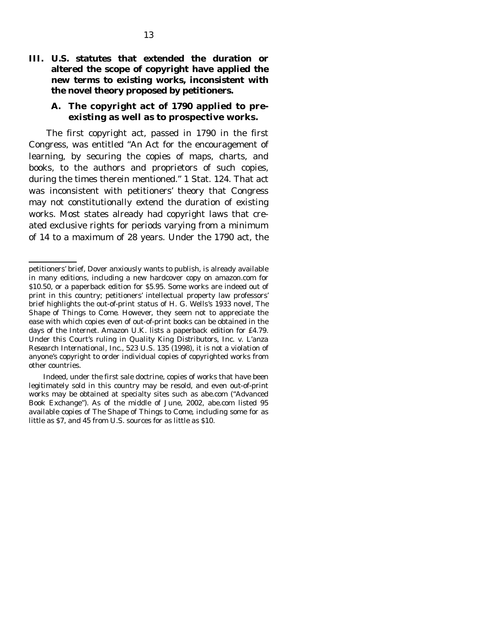**III. U.S. statutes that extended the duration or altered the scope of copyright have applied the new terms to existing works, inconsistent with the novel theory proposed by petitioners.** 

#### **A. The copyright act of 1790 applied to preexisting as well as to prospective works.**

 The first copyright act, passed in 1790 in the first Congress, was entitled "An Act for the encouragement of learning, by securing the copies of maps, charts, and books, to the authors and proprietors of such copies, during the times therein mentioned." 1 Stat. 124. That act was inconsistent with petitioners' theory that Congress may not constitutionally extend the duration of existing works. Most states already had copyright laws that created exclusive rights for periods varying from a minimum of 14 to a maximum of 28 years. Under the 1790 act, the

petitioners' brief, Dover anxiously wants to publish, is already available in many editions, including a new hardcover copy on amazon.com for \$10.50, or a paperback edition for \$5.95. Some works are indeed out of print in this country; petitioners' intellectual property law professors' brief highlights the out-of-print status of H. G. Wells's 1933 novel, *The Shape of Things to Come*. However, they seem not to appreciate the ease with which copies even of out-of-print books can be obtained in the days of the Internet. Amazon U.K. lists a paperback edition for £4.79. Under this Court's ruling in *Quality King Distributors, Inc. v. L'anza Research International, Inc.,* 523 U.S. 135 (1998), it is not a violation of anyone's copyright to order individual copies of copyrighted works from other countries.

Indeed, under the first sale doctrine, copies of works that have been legitimately sold in this country may be resold, and even out-of-print works may be obtained at specialty sites such as abe.com ("Advanced Book Exchange"). As of the middle of June, 2002, abe.com listed 95 available copies of *The Shape of Things to Come*, including some for as little as \$7, and 45 from U.S. sources for as little as \$10.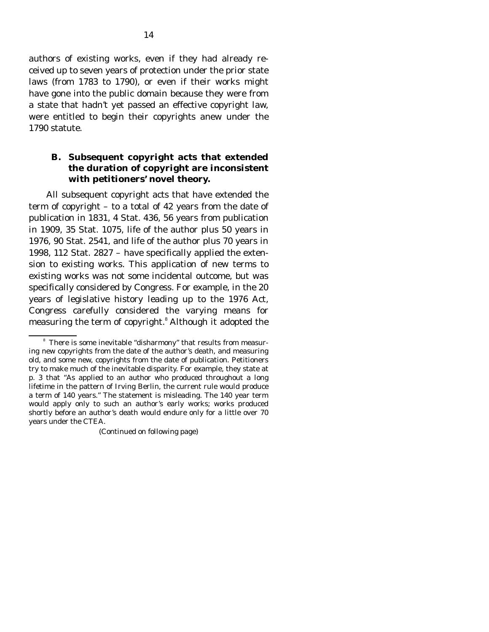authors of existing works, even if they had already received up to seven years of protection under the prior state laws (from 1783 to 1790), or even if their works might have gone into the public domain because they were from a state that hadn't yet passed an effective copyright law, were entitled to begin their copyrights anew under the 1790 statute.

### **B. Subsequent copyright acts that extended the duration of copyright are inconsistent with petitioners' novel theory.**

 All subsequent copyright acts that have extended the term of copyright – to a total of 42 years from the date of publication in 1831, 4 Stat. 436, 56 years from publication in 1909, 35 Stat. 1075, life of the author plus 50 years in 1976, 90 Stat. 2541, and life of the author plus 70 years in 1998, 112 Stat. 2827 – have specifically applied the extension to existing works. This application of new terms to existing works was not some incidental outcome, but was specifically considered by Congress. For example, in the 20 years of legislative history leading up to the 1976 Act, Congress carefully considered the varying means for measuring the term of copyright.<sup>8</sup> Although it adopted the

(Continued on following page)

<sup>&</sup>lt;sup>8</sup> There is some inevitable "disharmony" that results from measuring new copyrights from the date of the author's death, and measuring old, and some new, copyrights from the date of publication. Petitioners try to make much of the inevitable disparity. For example, they state at p. 3 that "As applied to an author who produced throughout a long lifetime in the pattern of Irving Berlin, the current rule would produce a term of 140 years." The statement is misleading. The 140 year term would apply only to such an author's early works; works produced shortly before an author's death would endure only for a little over 70 years under the CTEA.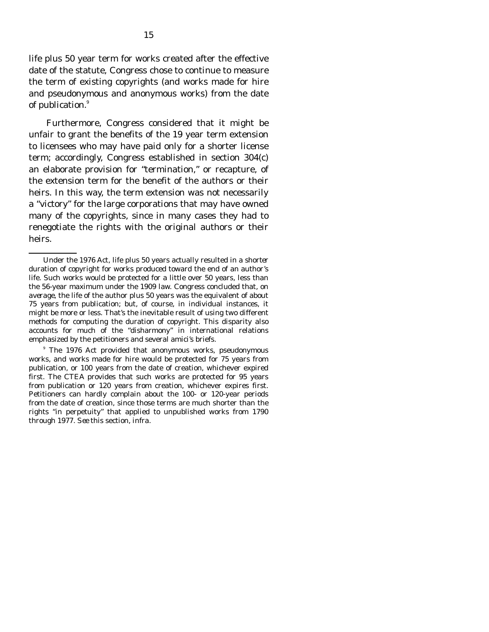life plus 50 year term for works created after the effective date of the statute, Congress chose to continue to measure the term of existing copyrights (and works made for hire and pseudonymous and anonymous works) from the date of publication.<sup>9</sup>

 Furthermore, Congress considered that it might be unfair to grant the benefits of the 19 year term extension to licensees who may have paid only for a shorter license term; accordingly, Congress established in section 304(c) an elaborate provision for "termination," or recapture, of the extension term for the benefit of the authors or their heirs. In this way, the term extension was not necessarily a "victory" for the large corporations that may have owned many of the copyrights, since in many cases they had to renegotiate the rights with the original authors or their heirs.

<sup>9</sup> The 1976 Act provided that anonymous works, pseudonymous works, and works made for hire would be protected for 75 years from publication, or 100 years from the date of creation, whichever expired first. The CTEA provides that such works are protected for 95 years from publication or 120 years from creation, whichever expires first. Petitioners can hardly complain about the 100- or 120-year periods from the date of creation, since those terms are much shorter than the rights "in perpetuity" that applied to unpublished works from 1790 through 1977. *See* this section, *infra*.

Under the 1976 Act, life plus 50 years actually resulted in a *shorter* duration of copyright for works produced toward the end of an author's life. Such works would be protected for a little over 50 years, less than the 56-year maximum under the 1909 law. Congress concluded that, *on average,* the life of the author plus 50 years was the equivalent of about 75 years from publication; but, of course, in individual instances, it might be more or less. That's the inevitable result of using two different methods for computing the duration of copyright. This disparity also accounts for much of the "disharmony" in international relations emphasized by the petitioners and several amici's briefs.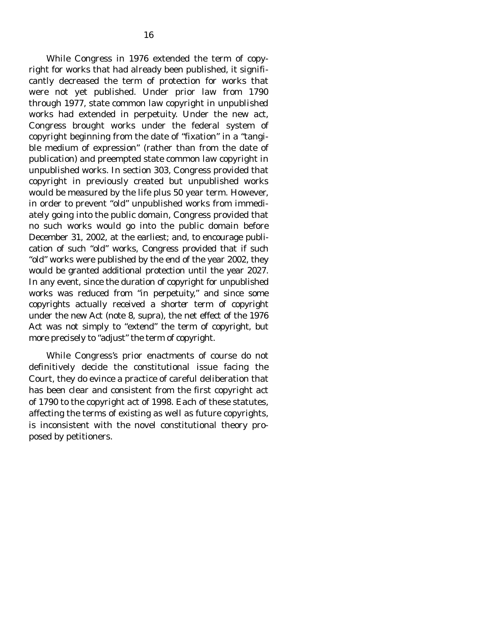While Congress in 1976 extended the term of copyright for works that had already been published, it significantly decreased the term of protection for works that were not yet published. Under prior law from 1790 through 1977, state common law copyright in *unpublished* works had extended in perpetuity. Under the new act, Congress brought works under the federal system of copyright beginning from the date of "fixation" in a "tangible medium of expression" (rather than from the date of publication) and preempted state common law copyright in unpublished works. In section 303, Congress provided that copyright in previously created but unpublished works would be measured by the life plus 50 year term. However, in order to prevent "old" unpublished works from immediately going into the public domain, Congress provided that no such works would go into the public domain before December 31, 2002, at the earliest; and, to encourage publication of such "old" works, Congress provided that if such "old" works were published by the end of the year 2002, they would be granted additional protection until the year 2027. In any event, since the duration of copyright for unpublished works was reduced from "in perpetuity," and since some copyrights actually received a *shorter* term of copyright under the new Act (note 8, *supra*), the net effect of the 1976 Act was not simply to "extend" the term of copyright, but more precisely to "adjust" the term of copyright.

 While Congress's prior enactments of course do not definitively decide the constitutional issue facing the Court, they do evince a practice of careful deliberation that has been clear and consistent from the first copyright act of 1790 to the copyright act of 1998. Each of these statutes, affecting the terms of existing as well as future copyrights, is inconsistent with the novel constitutional theory proposed by petitioners.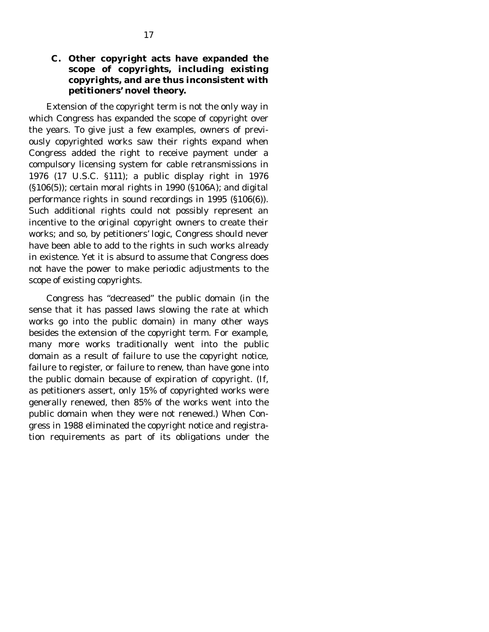### **C. Other copyright acts have expanded the scope of copyrights, including existing copyrights, and are thus inconsistent with petitioners' novel theory.**

 Extension of the copyright term is not the only way in which Congress has expanded the scope of copyright over the years. To give just a few examples, owners of previously copyrighted works saw their rights expand when Congress added the right to receive payment under a compulsory licensing system for cable retransmissions in 1976 (17 U.S.C. §111); a public display right in 1976 (§106(5)); certain moral rights in 1990 (§106A); and digital performance rights in sound recordings in 1995 (§106(6)). Such additional rights could not possibly represent an incentive to the original copyright owners to create their works; and so, by petitioners' logic, Congress should never have been able to add to the rights in such works already in existence. Yet it is absurd to assume that Congress does not have the power to make periodic adjustments to the scope of existing copyrights.

 Congress has "decreased" the public domain (in the sense that it has passed laws slowing the rate at which works go into the public domain) in many other ways besides the extension of the copyright term. For example, many more works traditionally went into the public domain as a result of failure to use the copyright notice, failure to register, or failure to renew, than have gone into the public domain because of expiration of copyright. (If, as petitioners assert, only 15% of copyrighted works were generally renewed, then 85% of the works went into the public domain when they were not renewed.) When Congress in 1988 eliminated the copyright notice and registration requirements as part of its obligations under the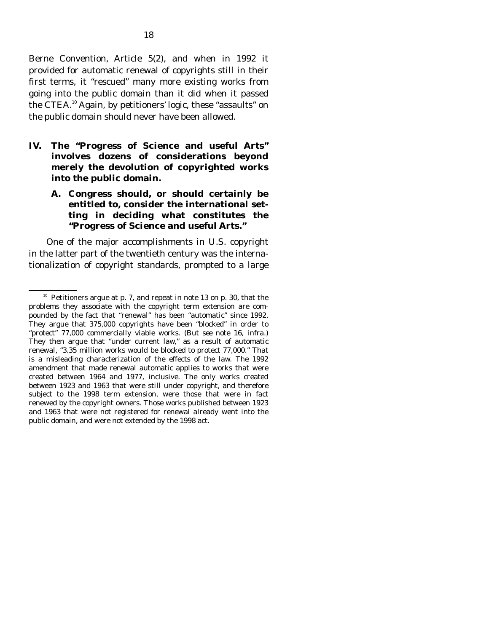Berne Convention, Article 5(2), and when in 1992 it provided for automatic renewal of copyrights still in their first terms, it "rescued" many more existing works from going into the public domain than it did when it passed the CTEA.<sup>10</sup> Again, by petitioners' logic, these "assaults" on the public domain should never have been allowed.

- **IV. The "Progress of Science and useful Arts" involves dozens of considerations beyond merely the devolution of copyrighted works into the public domain.** 
	- **A. Congress should, or should certainly be entitled to, consider the international setting in deciding what constitutes the "Progress of Science and useful Arts."**

 One of the major accomplishments in U.S. copyright in the latter part of the twentieth century was the internationalization of copyright standards, prompted to a large

<sup>&</sup>lt;sup>10</sup> Petitioners argue at p. 7, and repeat in note 13 on p. 30, that the problems they associate with the copyright term extension are compounded by the fact that "renewal" has been "automatic" since 1992. They argue that 375,000 copyrights have been "blocked" in order to "protect" 77,000 commercially viable works. (*But see* note 16, *infra.*) They then argue that "under current law," as a result of automatic renewal, "3.35 million works would be blocked to protect 77,000." That is a misleading characterization of the effects of the law. The 1992 amendment that made renewal automatic applies to works that were created between 1964 and 1977, inclusive. The only works created between 1923 and 1963 that were still under copyright, and therefore subject to the 1998 term extension, were those that were in fact renewed by the copyright owners. Those works published between 1923 and 1963 that were not registered for renewal already went into the public domain, and were not extended by the 1998 act.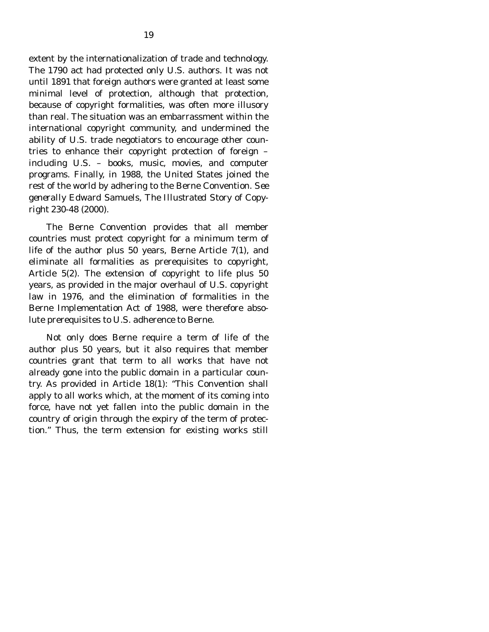extent by the internationalization of trade and technology. The 1790 act had protected only U.S. authors. It was not until 1891 that foreign authors were granted at least some minimal level of protection, although that protection, because of copyright formalities, was often more illusory than real. The situation was an embarrassment within the international copyright community, and undermined the ability of U.S. trade negotiators to encourage other countries to enhance their copyright protection of foreign – including U.S. – books, music, movies, and computer programs. Finally, in 1988, the United States joined the rest of the world by adhering to the Berne Convention. *See generally* Edward Samuels, *The Illustrated Story of Copyright* 230-48 (2000).

 The Berne Convention provides that all member countries must protect copyright for a minimum term of life of the author plus 50 years, Berne Article 7(1), and eliminate all formalities as prerequisites to copyright, Article 5(2). The extension of copyright to life plus 50 years, as provided in the major overhaul of U.S. copyright law in 1976, and the elimination of formalities in the Berne Implementation Act of 1988, were therefore absolute prerequisites to U.S. adherence to Berne.

 Not only does Berne require a term of life of the author plus 50 years, but it also requires that member countries grant that term to all works that have not already gone into the public domain in a particular country. As provided in Article 18(1): "This Convention shall apply to all works which, at the moment of its coming into force, have not yet fallen into the public domain in the country of origin through the expiry of the term of protection." Thus, the term extension for existing works still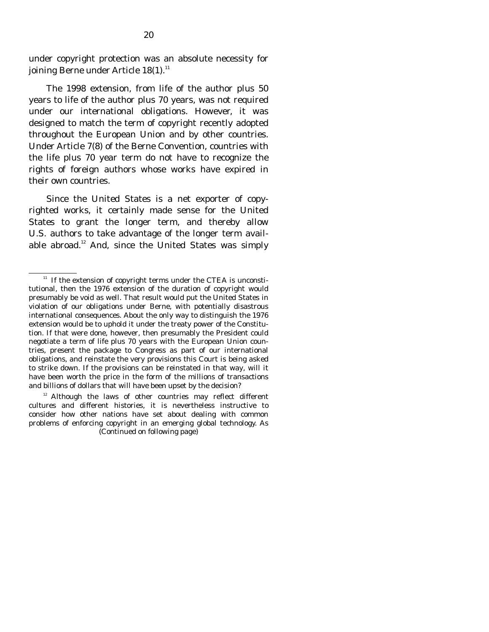under copyright protection was an absolute necessity for joining Berne under Article  $18(1)$ .<sup>11</sup>

 The 1998 extension, from life of the author plus 50 years to life of the author plus 70 years, was not required under our international obligations. However, it was designed to match the term of copyright recently adopted throughout the European Union and by other countries. Under Article 7(8) of the Berne Convention, countries with the life plus 70 year term do not have to recognize the rights of foreign authors whose works have expired in their own countries.

 Since the United States is a net exporter of copyrighted works, it certainly made sense for the United States to grant the longer term, and thereby allow U.S. authors to take advantage of the longer term available abroad.<sup>12</sup> And, since the United States was simply

 $11$  If the extension of copyright terms under the CTEA is unconstitutional, then the 1976 extension of the duration of copyright would presumably be void as well. That result would put the United States in violation of our obligations under Berne, with potentially disastrous international consequences. About the only way to distinguish the 1976 extension would be to uphold it under the treaty power of the Constitution. If that were done, however, then presumably the President could negotiate a term of life plus 70 years with the European Union countries, present the package to Congress as part of our international obligations, and reinstate the very provisions this Court is being asked to strike down. If the provisions can be reinstated in that way, will it have been worth the price in the form of the millions of transactions and billions of dollars that will have been upset by the decision?

 $12$  Although the laws of other countries may reflect different cultures and different histories, it is nevertheless instructive to consider how other nations have set about dealing with common problems of enforcing copyright in an emerging global technology. As (Continued on following page)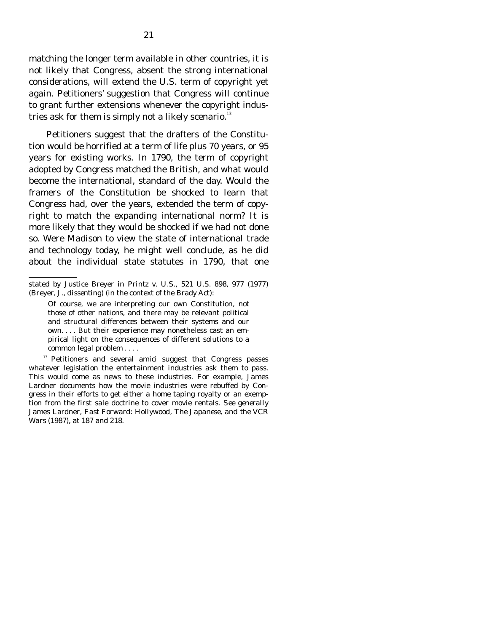matching the longer term available in other countries, it is not likely that Congress, absent the strong international considerations, will extend the U.S. term of copyright yet again. Petitioners' suggestion that Congress will continue to grant further extensions whenever the copyright industries ask for them is simply not a likely scenario. $13$ 

 Petitioners suggest that the drafters of the Constitution would be horrified at a term of life plus 70 years, or 95 years for existing works. In 1790, the term of copyright adopted by Congress matched the British, and what would become the international, standard of the day. Would the framers of the Constitution be shocked to learn that Congress had, over the years, extended the term of copyright to match the expanding international norm? It is more likely that they would be shocked if we had not done so. Were Madison to view the state of international trade and technology today, he might well conclude, as he did about the individual state statutes in 1790, that one

stated by Justice Breyer in *Printz v. U.S.*, 521 U.S. 898, 977 (1977) (Breyer, J., *dissenting)* (in the context of the Brady Act):

Of course, we are interpreting our own Constitution, not those of other nations, and there may be relevant political and structural differences between their systems and our own. . . . But their experience may nonetheless cast an empirical light on the consequences of different solutions to a common legal problem . . . .

<sup>&</sup>lt;sup>13</sup> Petitioners and several amici suggest that Congress passes whatever legislation the entertainment industries ask them to pass. This would come as news to these industries. For example, James Lardner documents how the movie industries were rebuffed by Congress in their efforts to get either a home taping royalty or an exemption from the first sale doctrine to cover movie rentals. *See generally*  James Lardner, *Fast Forward: Hollywood, The Japanese, and the VCR Wars* (1987), at 187 and 218.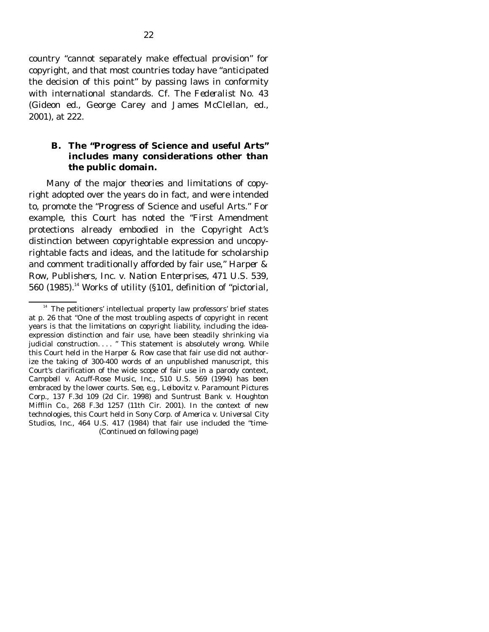country "cannot separately make effectual provision" for copyright, and that most countries today have "anticipated the decision of this point" by passing laws in conformity with international standards. Cf. *The Federalist No. 43* (Gideon ed., George Carey and James McClellan, ed., 2001), at 222.

#### **B. The "Progress of Science and useful Arts" includes many considerations other than the public domain.**

 Many of the major theories and limitations of copyright adopted over the years do in fact, and were intended to, promote the "Progress of Science and useful Arts." For example, this Court has noted the "First Amendment protections already embodied in the Copyright Act's distinction between copyrightable expression and uncopyrightable facts and ideas, and the latitude for scholarship and comment traditionally afforded by fair use," *Harper & Row, Publishers, Inc. v. Nation Enterprises,* 471 U.S. 539, 560 (1985).<sup>14</sup> Works of utility (§101, definition of "pictorial,

 $14$  The petitioners' intellectual property law professors' brief states at p. 26 that "One of the most troubling aspects of copyright in recent years is that the limitations on copyright liability, including the ideaexpression distinction and fair use, have been steadily shrinking via judicial construction. . . . " This statement is absolutely wrong. While this Court held in the *Harper & Row* case that fair use did not authorize the taking of 300-400 words of an unpublished manuscript, this Court's clarification of the wide scope of fair use in a parody context, *Campbell v. Acuff-Rose Music, Inc.,* 510 U.S. 569 (1994) has been embraced by the lower courts. *See, e.g., Leibovitz v. Paramount Pictures Corp.,* 137 F.3d 109 (2d Cir. 1998) and *Suntrust Bank v. Houghton Mifflin Co.,* 268 F.3d 1257 (11th Cir. 2001). In the context of new technologies, this Court held in *Sony Corp. of America v. Universal City Studios, Inc.,* 464 U.S. 417 (1984) that fair use included the "time- (Continued on following page)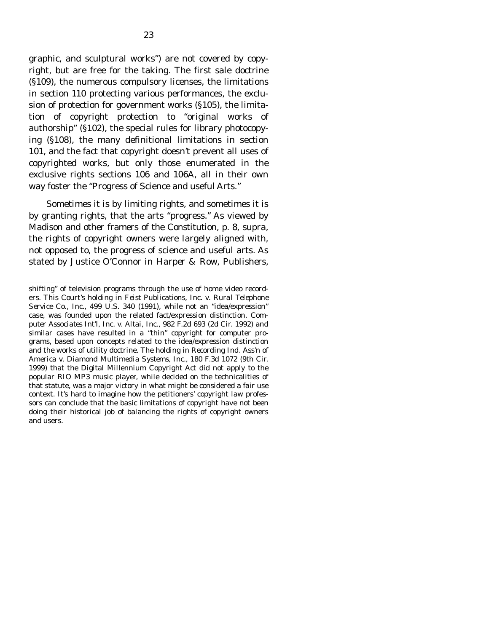graphic, and sculptural works") are not covered by copyright, but are free for the taking. The first sale doctrine (§109), the numerous compulsory licenses, the limitations in section 110 protecting various performances, the exclusion of protection for government works (§105), the limitation of copyright protection to "original works of authorship" (§102), the special rules for library photocopying (§108), the many definitional limitations in section 101, and the fact that copyright doesn't prevent all uses of copyrighted works, but only those enumerated in the exclusive rights sections 106 and 106A, all in their own way foster the "Progress of Science and useful Arts."

 Sometimes it is by limiting rights, and sometimes it is by granting rights, that the arts "progress." As viewed by Madison and other framers of the Constitution, p. 8, *supra*, the rights of copyright owners were largely aligned with, not opposed to, the progress of science and useful arts. As stated by Justice O'Connor in *Harper & Row, Publishers,* 

shifting" of television programs through the use of home video recorders. This Court's holding in *Feist Publications, Inc. v. Rural Telephone Service Co., Inc.,* 499 U.S. 340 (1991), while not an "idea/expression" case, was founded upon the related fact/expression distinction. *Computer Associates Int'l, Inc. v. Altai, Inc.,* 982 F.2d 693 (2d Cir. 1992) and similar cases have resulted in a "thin" copyright for computer programs, based upon concepts related to the idea/expression distinction and the works of utility doctrine. The holding in *Recording Ind. Ass'n of America v. Diamond Multimedia Systems, Inc.,* 180 F.3d 1072 (9th Cir. 1999) that the Digital Millennium Copyright Act did not apply to the popular RIO MP3 music player, while decided on the technicalities of that statute, was a major victory in what might be considered a fair use context. It's hard to imagine how the petitioners' copyright law professors can conclude that the basic limitations of copyright have not been doing their historical job of balancing the rights of copyright owners and users.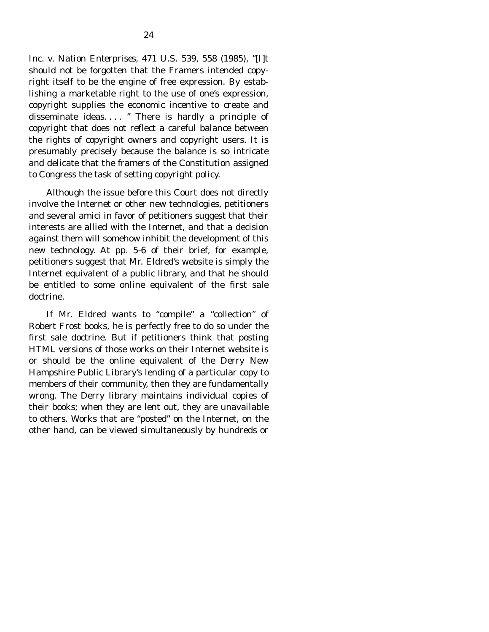*Inc. v. Nation Enterprises,* 471 U.S. 539, 558 (1985), "[I]t should not be forgotten that the Framers intended copyright itself to be the engine of free expression. By establishing a marketable right to the use of one's expression, copyright supplies the economic incentive to create and disseminate ideas. . . . " There is hardly a principle of copyright that does not reflect a careful balance between the rights of copyright owners and copyright users. It is presumably precisely because the balance is so intricate and delicate that the framers of the Constitution assigned to Congress the task of setting copyright policy.

 Although the issue before this Court does not directly involve the Internet or other new technologies, petitioners and several amici in favor of petitioners suggest that their interests are allied with the Internet, and that a decision against them will somehow inhibit the development of this new technology. At pp. 5-6 of their brief, for example, petitioners suggest that Mr. Eldred's website is simply the Internet equivalent of a public library, and that he should be entitled to some online equivalent of the first sale doctrine.

 If Mr. Eldred wants to "compile" a "collection" of Robert Frost books, he is perfectly free to do so under the first sale doctrine. But if petitioners think that posting HTML versions of those works on their Internet website is or should be the online equivalent of the Derry New Hampshire Public Library's lending of a particular copy to members of their community, then they are fundamentally wrong. The Derry library maintains individual copies of their books; when they are lent out, they are unavailable to others. Works that are "posted" on the Internet, on the other hand, can be viewed simultaneously by hundreds or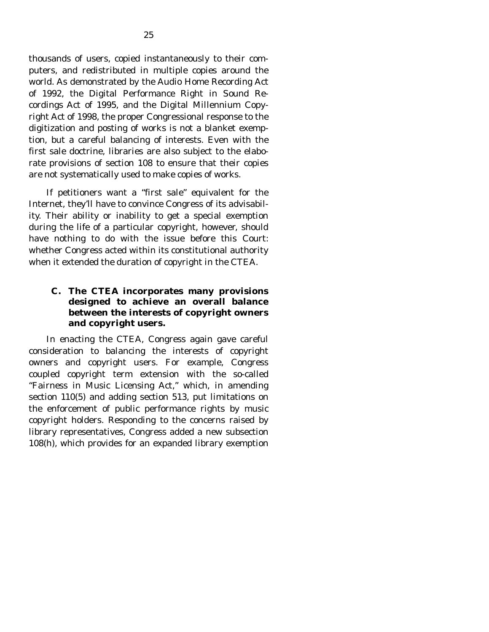thousands of users, copied instantaneously to their computers, and redistributed in multiple copies around the world. As demonstrated by the Audio Home Recording Act of 1992, the Digital Performance Right in Sound Recordings Act of 1995, and the Digital Millennium Copyright Act of 1998, the proper Congressional response to the digitization and posting of works is not a blanket exemption, but a careful balancing of interests. Even with the first sale doctrine, libraries are also subject to the elaborate provisions of section 108 to ensure that their copies are not systematically used to make copies of works.

 If petitioners want a "first sale" equivalent for the Internet, they'll have to convince Congress of its advisability. Their ability or inability to get a special exemption during the life of a particular copyright, however, should have nothing to do with the issue before this Court: whether Congress acted within its constitutional authority when it extended the duration of copyright in the CTEA.

### **C. The CTEA incorporates many provisions designed to achieve an overall balance between the interests of copyright owners and copyright users.**

 In enacting the CTEA, Congress again gave careful consideration to balancing the interests of copyright owners and copyright users. For example, Congress coupled copyright term extension with the so-called "Fairness in Music Licensing Act," which, in amending section 110(5) and adding section 513, put limitations on the enforcement of public performance rights by music copyright holders. Responding to the concerns raised by library representatives, Congress added a new subsection 108(h), which provides for an expanded library exemption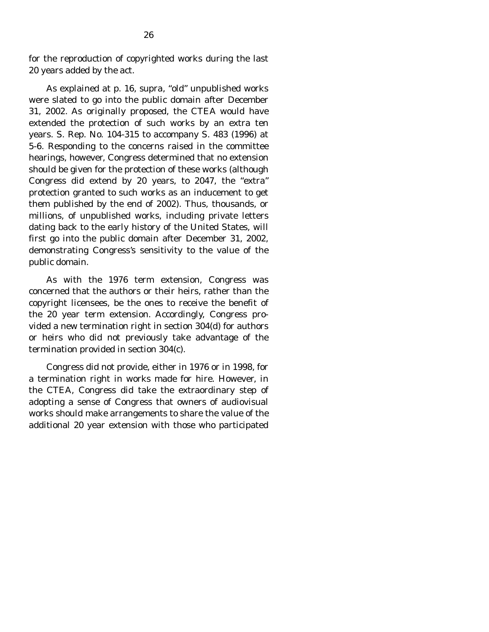for the reproduction of copyrighted works during the last 20 years added by the act.

 As explained at p. 16, *supra*, "old" unpublished works were slated to go into the public domain after December 31, 2002. As originally proposed, the CTEA would have extended the protection of such works by an extra ten years. S. Rep. No. 104-315 to accompany S. 483 (1996) at 5-6. Responding to the concerns raised in the committee hearings, however, Congress determined that no extension should be given for the protection of these works (although Congress did extend by 20 years, to 2047, the "extra" protection granted to such works as an inducement to get them published by the end of 2002). Thus, thousands, or millions, of unpublished works, including private letters dating back to the early history of the United States, will first go into the public domain after December 31, 2002, demonstrating Congress's sensitivity to the value of the public domain.

 As with the 1976 term extension, Congress was concerned that the authors or their heirs, rather than the copyright licensees, be the ones to receive the benefit of the 20 year term extension. Accordingly, Congress provided a new termination right in section 304(d) for authors or heirs who did not previously take advantage of the termination provided in section 304(c).

 Congress did not provide, either in 1976 or in 1998, for a termination right in works made for hire. However, in the CTEA, Congress did take the extraordinary step of adopting a sense of Congress that owners of audiovisual works should make arrangements to share the value of the additional 20 year extension with those who participated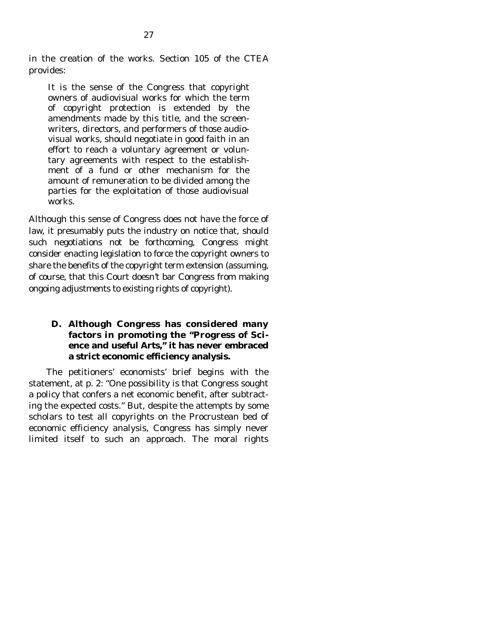in the creation of the works. Section 105 of the CTEA provides:

It is the sense of the Congress that copyright owners of audiovisual works for which the term of copyright protection is extended by the amendments made by this title, and the screenwriters, directors, and performers of those audiovisual works, should negotiate in good faith in an effort to reach a voluntary agreement or voluntary agreements with respect to the establishment of a fund or other mechanism for the amount of remuneration to be divided among the parties for the exploitation of those audiovisual works.

Although this sense of Congress does not have the force of law, it presumably puts the industry on notice that, should such negotiations not be forthcoming, Congress might consider enacting legislation to force the copyright owners to share the benefits of the copyright term extension (assuming, of course, that this Court doesn't bar Congress from making ongoing adjustments to existing rights of copyright).

### **D. Although Congress has considered many factors in promoting the "Progress of Science and useful Arts," it has never embraced a strict economic efficiency analysis.**

 The petitioners' economists' brief begins with the statement, at p. 2: "One possibility is that Congress sought a policy that confers a net economic benefit, after subtracting the expected costs." But, despite the attempts by some scholars to test all copyrights on the Procrustean bed of economic efficiency analysis, Congress has simply never limited itself to such an approach. The moral rights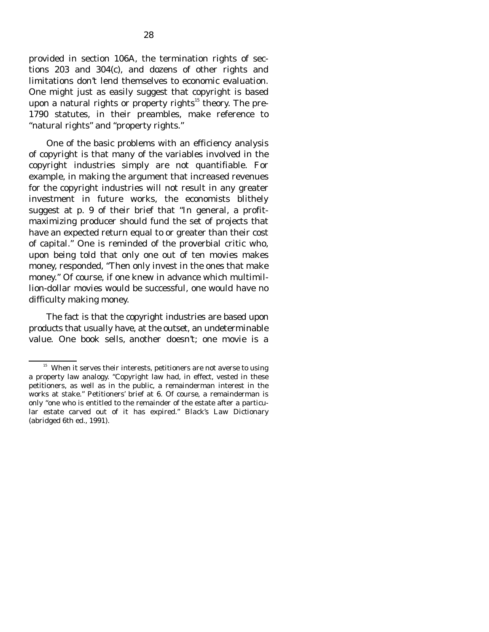provided in section 106A, the termination rights of sections 203 and 304(c), and dozens of other rights and limitations don't lend themselves to economic evaluation. One might just as easily suggest that copyright is based upon a natural rights or property rights<sup>15</sup> theory. The pre-1790 statutes, in their preambles, make reference to "natural rights" and "property rights."

 One of the basic problems with an efficiency analysis of copyright is that many of the variables involved in the copyright industries simply are not quantifiable. For example, in making the argument that increased revenues for the copyright industries will not result in any greater investment in future works, the economists blithely suggest at p. 9 of their brief that "In general, a profitmaximizing producer should fund the set of projects that have an expected return equal to or greater than their cost of capital." One is reminded of the proverbial critic who, upon being told that only one out of ten movies makes money, responded, "Then only invest in the ones that make money." Of course, if one knew in advance which multimillion-dollar movies would be successful, one would have no difficulty making money.

 The fact is that the copyright industries are based upon products that usually have, at the outset, an undeterminable value. One book sells, another doesn't; one movie is a

<sup>&</sup>lt;sup>15</sup> When it serves their interests, petitioners are not averse to using a property law analogy. "Copyright law had, in effect, vested in these petitioners, as well as in the public, a remainderman interest in the works at stake." Petitioners' brief at 6. Of course, a remainderman is only "one who is entitled to the remainder of the estate after a particular estate carved out of it has expired." *Black's Law Dictionary* (abridged 6th ed., 1991).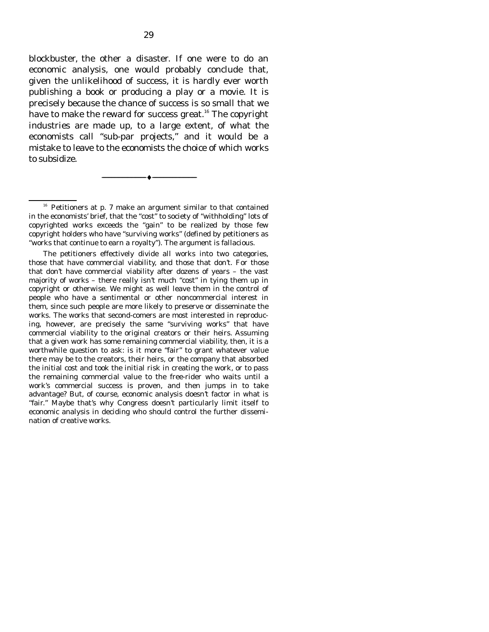blockbuster, the other a disaster. If one were to do an economic analysis, one would probably conclude that, given the unlikelihood of success, it is hardly ever worth publishing a book or producing a play or a movie. It is precisely because the chance of success is so small that we have to make the reward for success great.<sup>16</sup> The copyright industries are made up, to a large extent, of what the economists call "sub-par projects," and it would be a mistake to leave to the economists the choice of which works to subsidize.

 $16$  Petitioners at p. 7 make an argument similar to that contained in the economists' brief, that the "cost" to society of "withholding" lots of copyrighted works exceeds the "gain" to be realized by those few copyright holders who have "surviving works" (defined by petitioners as "works that continue to earn a royalty"). The argument is fallacious.

--------------------------------- ♦ ---------------------------------

 The petitioners effectively divide all works into two categories, those that have commercial viability, and those that don't. For those that don't have commercial viability after dozens of years – the vast majority of works – there really isn't much "cost" in tying them up in copyright or otherwise. We might as well leave them in the control of people who have a sentimental or other noncommercial interest in them, since such people are more likely to preserve or disseminate the works. The works that second-comers are most interested in reproducing, however, are precisely the same "surviving works" that have commercial viability to the original creators or their heirs. Assuming that a given work has some remaining commercial viability, then, it is a worthwhile question to ask: is it more "fair" to grant whatever value there may be to the creators, their heirs, or the company that absorbed the initial cost and took the initial risk in creating the work, or to pass the remaining commercial value to the free-rider who waits until a work's commercial success is proven, and then jumps in to take advantage? But, of course, economic analysis doesn't factor in what is "fair." Maybe that's why Congress doesn't particularly limit itself to economic analysis in deciding who should control the further dissemination of creative works.